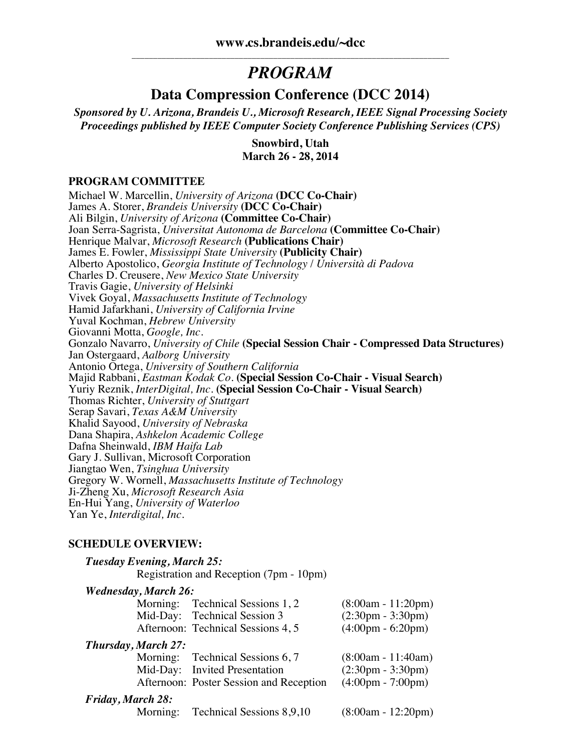# *PROGRAM*

### **Data Compression Conference (DCC 2014)**

*Sponsored by U. Arizona, Brandeis U., Microsoft Research, IEEE Signal Processing Society Proceedings published by IEEE Computer Society Conference Publishing Services (CPS)*

> **Snowbird, Utah March 26 - 28, 2014**

#### **PROGRAM COMMITTEE**

Michael W. Marcellin, *University of Arizona* **(DCC Co-Chair)** James A. Storer, *Brandeis University* **(DCC Co-Chair)** Ali Bilgin, *University of Arizona* **(Committee Co-Chair)** Joan Serra-Sagrista, *Universitat Autonoma de Barcelona* **(Committee Co-Chair)** Henrique Malvar, *Microsoft Research* **(Publications Chair)** James E. Fowler, *Mississippi State University* **(Publicity Chair)** Alberto Apostolico, *Georgia Institute of Technology* / *Università di Padova* Charles D. Creusere, *New Mexico State University* Travis Gagie, *University of Helsinki* Vivek Goyal, *Massachusetts Institute of Technology* Hamid Jafarkhani, *University of California Irvine* Yuval Kochman, *Hebrew University* Giovanni Motta, *Google, Inc.* Gonzalo Navarro, *University of Chile* **(Special Session Chair - Compressed Data Structures)** Jan Ostergaard, *Aalborg University* Antonio Ortega, *University of Southern California* Majid Rabbani, *Eastman Kodak Co.* **(Special Session Co-Chair - Visual Search)** Yuriy Reznik, *InterDigital, Inc.* **(Special Session Co-Chair - Visual Search)** Thomas Richter, *University of Stuttgart* Serap Savari, *Texas A&M University* Khalid Sayood, *University of Nebraska* Dana Shapira, *Ashkelon Academic College* Dafna Sheinwald, *IBM Haifa Lab* Gary J. Sullivan, Microsoft Corporation Jiangtao Wen, *Tsinghua University* Gregory W. Wornell, *Massachusetts Institute of Technology* Ji-Zheng Xu, *Microsoft Research Asia* En-Hui Yang, *University of Waterloo* Yan Ye, *Interdigital, Inc.*

#### **SCHEDULE OVERVIEW:**

|                   | SCHEDULE OVERVIEW:          |                                                                                                              |                                                                                                    |
|-------------------|-----------------------------|--------------------------------------------------------------------------------------------------------------|----------------------------------------------------------------------------------------------------|
|                   | Tuesday Evening, March 25:  | Registration and Reception (7pm - 10pm)                                                                      |                                                                                                    |
|                   | <b>Wednesday, March 26:</b> | Morning: Technical Sessions 1, 2<br>Mid-Day: Technical Session 3<br>Afternoon: Technical Sessions 4, 5       | $(8:00am - 11:20pm)$<br>$(2:30 \text{pm} - 3:30 \text{pm})$<br>$(4:00 \text{pm} - 6:20 \text{pm})$ |
|                   | Thursday, March 27:         | Morning: Technical Sessions 6, 7<br>Mid-Day: Invited Presentation<br>Afternoon: Poster Session and Reception | $(8:00am - 11:40am)$<br>$(2:30 \text{pm} - 3:30 \text{pm})$<br>$(4:00 \text{pm} - 7:00 \text{pm})$ |
| Friday, March 28: | Morning:                    | Technical Sessions 8,9,10                                                                                    | $(8:00am - 12:20pm)$                                                                               |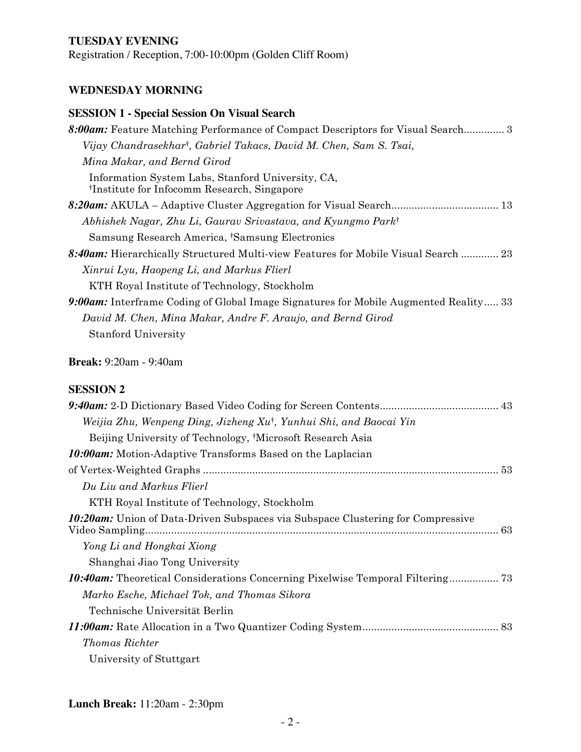#### **TUESDAY EVENING**

Registration / Reception, 7:00-10:00pm (Golden Cliff Room)

#### **WEDNESDAY MORNING**

# **SESSION 1 - Special Session On Visual Search** *8:00am:* Feature Matching Performance of Compact Descriptors for Visual Search.............. 3 *Vijay Chandrasekhar*†*, Gabriel Takacs, David M. Chen, Sam S. Tsai, Mina Makar, and Bernd Girod*  Information System Labs, Stanford University, CA, †Institute for Infocomm Research, Singapore *8:20am:* AKULA – Adaptive Cluster Aggregation for Visual Search..................................... 13 *Abhishek Nagar, Zhu Li, Gaurav Srivastava, and Kyungmo Park*† Samsung Research America, †Samsung Electronics *8:40am:* Hierarchically Structured Multi-view Features for Mobile Visual Search ............. 23 *Xinrui Lyu, Haopeng Li, and Markus Flierl*  KTH Royal Institute of Technology, Stockholm *9:00am:* Interframe Coding of Global Image Signatures for Mobile Augmented Reality..... 33 *David M. Chen, Mina Makar, Andre F. Araujo, and Bernd Girod* Stanford University

**Break:** 9:20am - 9:40am

#### **SESSION 2**

| Weijia Zhu, Wenpeng Ding, Jizheng Xu†, Yunhui Shi, and Baocai Yin                      |
|----------------------------------------------------------------------------------------|
| Beijing University of Technology, <sup>†</sup> Microsoft Research Asia                 |
| <b>10:00am:</b> Motion-Adaptive Transforms Based on the Laplacian                      |
|                                                                                        |
| Du Liu and Markus Flierl                                                               |
| KTH Royal Institute of Technology, Stockholm                                           |
| <b>10:20am:</b> Union of Data-Driven Subspaces via Subspace Clustering for Compressive |
| Yong Li and Hongkai Xiong                                                              |
| Shanghai Jiao Tong University                                                          |
| <b>10:40am:</b> Theoretical Considerations Concerning Pixelwise Temporal Filtering 73  |
| Marko Esche, Michael Tok, and Thomas Sikora                                            |
| Technische Universität Berlin                                                          |
|                                                                                        |
| <b>Thomas Richter</b>                                                                  |
| University of Stuttgart                                                                |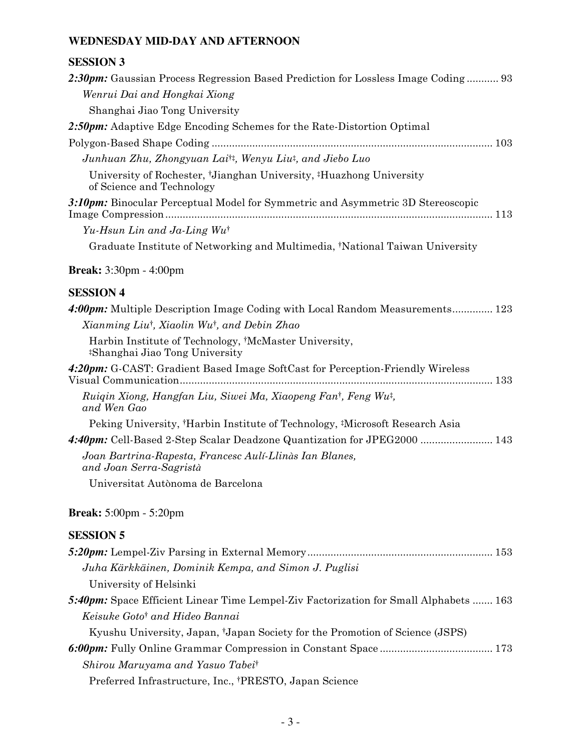### **WEDNESDAY MID-DAY AND AFTERNOON**

### **SESSION 3**

| 2:30pm: Gaussian Process Regression Based Prediction for Lossless Image Coding 93                                        |
|--------------------------------------------------------------------------------------------------------------------------|
| Wenrui Dai and Hongkai Xiong                                                                                             |
| Shanghai Jiao Tong University                                                                                            |
| 2:50pm: Adaptive Edge Encoding Schemes for the Rate-Distortion Optimal                                                   |
|                                                                                                                          |
| Junhuan Zhu, Zhongyuan Lai <sup>†‡</sup> , Wenyu Liu‡, and Jiebo Luo                                                     |
| University of Rochester, <sup>†</sup> Jianghan University, <sup>‡</sup> Huazhong University<br>of Science and Technology |
| 3:10pm: Binocular Perceptual Model for Symmetric and Asymmetric 3D Stereoscopic                                          |
| Yu-Hsun Lin and Ja-Ling $Wu^{\dagger}$                                                                                   |
| Graduate Institute of Networking and Multimedia, *National Taiwan University                                             |
| <b>Break:</b> 3:30pm - 4:00pm                                                                                            |
| <b>SESSION 4</b>                                                                                                         |
| 4:00pm: Multiple Description Image Coding with Local Random Measurements 123                                             |
| Xianming Liu <sup>†</sup> , Xiaolin Wu <sup>†</sup> , and Debin Zhao                                                     |
| Harbin Institute of Technology, †McMaster University,<br><sup>‡</sup> Shanghai Jiao Tong University                      |
| 4:20pm: G-CAST: Gradient Based Image SoftCast for Perception-Friendly Wireless                                           |
| Ruigin Xiong, Hangfan Liu, Siwei Ma, Xiaopeng Fan <sup>†</sup> , Feng Wu <sup>†</sup> ,<br>and Wen Gao                   |
| Peking University, †Harbin Institute of Technology, ‡Microsoft Research Asia                                             |
| 4:40pm: Cell-Based 2-Step Scalar Deadzone Quantization for JPEG2000  143                                                 |
| Joan Bartrina-Rapesta, Francesc Aulí-Llinàs Ian Blanes,<br>and Joan Serra-Sagristà                                       |
| Universitat Autònoma de Barcelona                                                                                        |
| <b>Break:</b> 5:00pm - 5:20pm                                                                                            |
| <b>SESSION 5</b>                                                                                                         |
|                                                                                                                          |
| Juha Kärkkäinen, Dominik Kempa, and Simon J. Puglisi                                                                     |
| University of Helsinki                                                                                                   |
| 5:40pm: Space Efficient Linear Time Lempel-Ziv Factorization for Small Alphabets  163                                    |
| Keisuke Goto <sup>†</sup> and Hideo Bannai                                                                               |
| Kyushu University, Japan, 'Japan Society for the Promotion of Science (JSPS)                                             |
|                                                                                                                          |
| Shirou Maruyama and Yasuo Tabei <sup>†</sup>                                                                             |
| Preferred Infrastructure, Inc., †PRESTO, Japan Science                                                                   |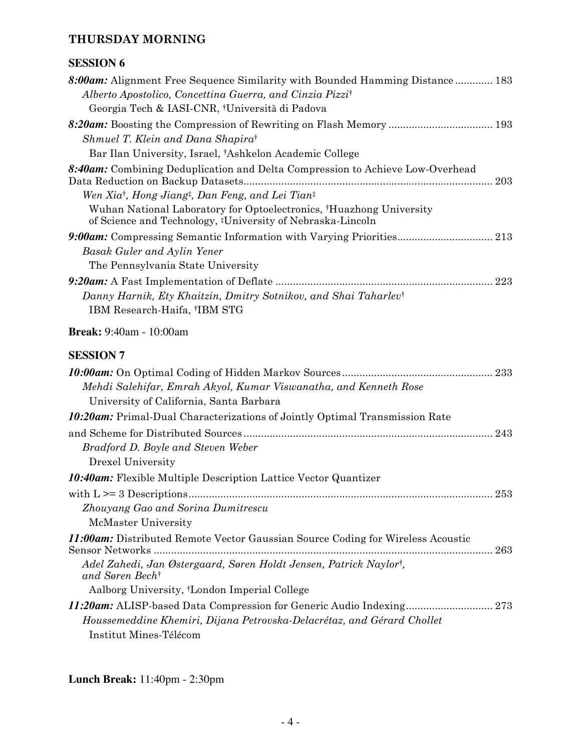#### **THURSDAY MORNING**

### **SESSION 6**

| 8:00am: Alignment Free Sequence Similarity with Bounded Hamming Distance 183                                                      |
|-----------------------------------------------------------------------------------------------------------------------------------|
| Alberto Apostolico, Concettina Guerra, and Cinzia Pizzi <sup>†</sup>                                                              |
| Georgia Tech & IASI-CNR, †Università di Padova                                                                                    |
| Shmuel T. Klein and Dana Shapirat                                                                                                 |
| Bar Ilan University, Israel, †Ashkelon Academic College                                                                           |
| 8:40am: Combining Deduplication and Delta Compression to Achieve Low-Overhead<br>Data Reduction on Backup Datasets.<br>203        |
| Wen Xia <sup>†</sup> , Hong Jiang <sup>‡</sup> , Dan Feng, and Lei Tian <sup>‡</sup>                                              |
| Wuhan National Laboratory for Optoelectronics, †Huazhong University<br>of Science and Technology, #University of Nebraska-Lincoln |
|                                                                                                                                   |
| Basak Guler and Aylin Yener                                                                                                       |
| The Pennsylvania State University                                                                                                 |
|                                                                                                                                   |
| Danny Harnik, Ety Khaitzin, Dmitry Sotnikov, and Shai Taharlev <sup>†</sup>                                                       |
| IBM Research-Haifa, †IBM STG                                                                                                      |
| <b>Break:</b> 9:40am - 10:00am                                                                                                    |
| <b>SESSION 7</b>                                                                                                                  |
| Mehdi Salehifar, Emrah Akyol, Kumar Viswanatha, and Kenneth Rose<br>University of California, Santa Barbara                       |
| <b>10:20am:</b> Primal-Dual Characterizations of Jointly Optimal Transmission Rate                                                |
| 243                                                                                                                               |
| Bradford D. Boyle and Steven Weber                                                                                                |
| Drexel University                                                                                                                 |

|                                                                                                   | -253 |
|---------------------------------------------------------------------------------------------------|------|
| Zhouyang Gao and Sorina Dumitrescu                                                                |      |
| McMaster University                                                                               |      |
| <b>11:00am:</b> Distributed Remote Vector Gaussian Source Coding for Wireless Acoustic            | 263  |
| Adel Zahedi, Jan Østergaard, Søren Holdt Jensen, Patrick Naylor <sup>i</sup> ,<br>and Søren Becht |      |
| Aalborg University, <sup>†</sup> London Imperial College                                          |      |
|                                                                                                   |      |
| Houssemeddine Khemiri, Dijana Petrovska-Delacrétaz, and Gérard Chollet                            |      |
| Institut Mines-Télécom                                                                            |      |

*10:40am:* Flexible Multiple Description Lattice Vector Quantizer

**Lunch Break:** 11:40pm - 2:30pm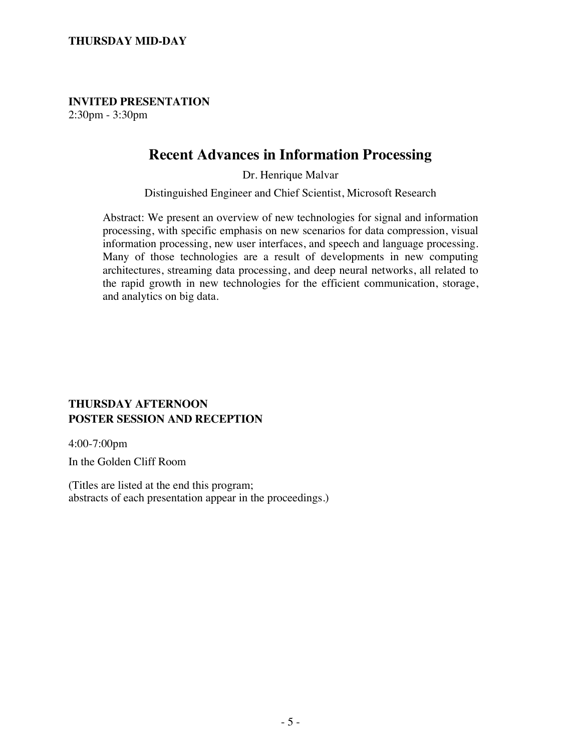**INVITED PRESENTATION** 2:30pm - 3:30pm

## **Recent Advances in Information Processing**

Dr. Henrique Malvar

Distinguished Engineer and Chief Scientist, Microsoft Research

Abstract: We present an overview of new technologies for signal and information processing, with specific emphasis on new scenarios for data compression, visual information processing, new user interfaces, and speech and language processing. Many of those technologies are a result of developments in new computing architectures, streaming data processing, and deep neural networks, all related to the rapid growth in new technologies for the efficient communication, storage, and analytics on big data.

#### **THURSDAY AFTERNOON POSTER SESSION AND RECEPTION**

4:00-7:00pm

In the Golden Cliff Room

(Titles are listed at the end this program; abstracts of each presentation appear in the proceedings.)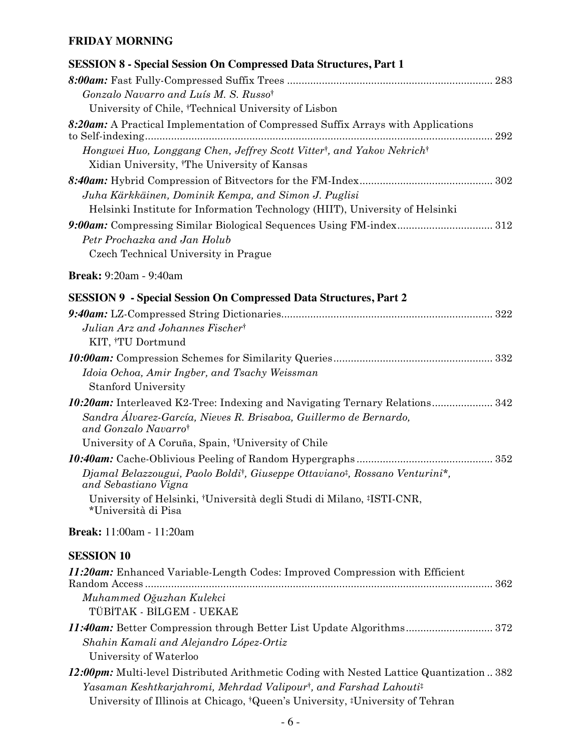### **FRIDAY MORNING**

| <b>SESSION 8 - Special Session On Compressed Data Structures, Part 1</b>                                                                                                                                                                                                                       |
|------------------------------------------------------------------------------------------------------------------------------------------------------------------------------------------------------------------------------------------------------------------------------------------------|
|                                                                                                                                                                                                                                                                                                |
| Gonzalo Navarro and Luís M. S. Russo <sup>†</sup>                                                                                                                                                                                                                                              |
| University of Chile, †Technical University of Lisbon                                                                                                                                                                                                                                           |
| 8:20am: A Practical Implementation of Compressed Suffix Arrays with Applications<br>Hongwei Huo, Longgang Chen, Jeffrey Scott Vitter <sup>†</sup> , and Yakov Nekrich <sup>†</sup><br>Xidian University, <sup>†</sup> The University of Kansas                                                 |
| Juha Kärkkäinen, Dominik Kempa, and Simon J. Puglisi<br>Helsinki Institute for Information Technology (HIIT), University of Helsinki                                                                                                                                                           |
| Petr Prochazka and Jan Holub<br>Czech Technical University in Prague                                                                                                                                                                                                                           |
| <b>Break:</b> 9:20am - 9:40am                                                                                                                                                                                                                                                                  |
| <b>SESSION 9 - Special Session On Compressed Data Structures, Part 2</b>                                                                                                                                                                                                                       |
| Julian Arz and Johannes Fischert<br>KIT, †TU Dortmund                                                                                                                                                                                                                                          |
|                                                                                                                                                                                                                                                                                                |
| Idoia Ochoa, Amir Ingber, and Tsachy Weissman<br><b>Stanford University</b>                                                                                                                                                                                                                    |
| <b>10:20am:</b> Interleaved K2-Tree: Indexing and Navigating Ternary Relations 342<br>Sandra Álvarez-García, Nieves R. Brisaboa, Guillermo de Bernardo,<br>and Gonzalo Navarrot<br>University of A Coruña, Spain, †University of Chile                                                         |
|                                                                                                                                                                                                                                                                                                |
| Djamal Belazzougui, Paolo Boldi <sup>†</sup> , Giuseppe Ottaviano <sup>‡</sup> , Rossano Venturini <sup>*</sup> ,<br>and Sebastiano Vigna<br>University of Helsinki, †Università degli Studi di Milano, ‡ISTI-CNR,<br>*Università di Pisa                                                      |
| <b>Break:</b> 11:00am - 11:20am                                                                                                                                                                                                                                                                |
| <b>SESSION 10</b>                                                                                                                                                                                                                                                                              |
| <b>11:20am:</b> Enhanced Variable-Length Codes: Improved Compression with Efficient<br>Muhammed Oğuzhan Kulekci<br>TÜBİTAK - BİLGEM - UEKAE                                                                                                                                                    |
| 11:40am: Better Compression through Better List Update Algorithms 372<br>Shahin Kamali and Alejandro López-Ortiz<br>University of Waterloo                                                                                                                                                     |
| 12:00pm: Multi-level Distributed Arithmetic Coding with Nested Lattice Quantization  382<br>Yasaman Keshtkarjahromi, Mehrdad Valipour <sup>†</sup> , and Farshad Lahouti <sup>†</sup><br>University of Illinois at Chicago, <sup>†</sup> Queen's University, <sup>‡</sup> University of Tehran |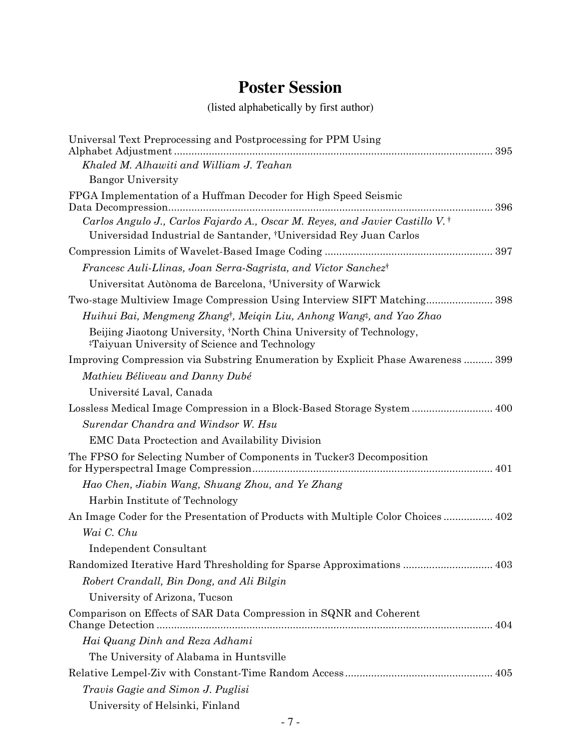# **Poster Session**

(listed alphabetically by first author)

| Universal Text Preprocessing and Postprocessing for PPM Using                                                                    |
|----------------------------------------------------------------------------------------------------------------------------------|
| Khaled M. Alhawiti and William J. Teahan                                                                                         |
| <b>Bangor University</b>                                                                                                         |
| FPGA Implementation of a Huffman Decoder for High Speed Seismic                                                                  |
| Carlos Angulo J., Carlos Fajardo A., Oscar M. Reyes, and Javier Castillo V. <sup>†</sup>                                         |
| Universidad Industrial de Santander, †Universidad Rey Juan Carlos                                                                |
|                                                                                                                                  |
| Francesc Auli-Llinas, Joan Serra-Sagrista, and Victor Sanchezt                                                                   |
| Universitat Autònoma de Barcelona, †University of Warwick                                                                        |
| Two-stage Multiview Image Compression Using Interview SIFT Matching398                                                           |
| Huihui Bai, Mengmeng Zhang <sup>†</sup> , Meiqin Liu, Anhong Wang‡, and Yao Zhao                                                 |
| Beijing Jiaotong University, †North China University of Technology,<br><sup>#</sup> Taiyuan University of Science and Technology |
| Improving Compression via Substring Enumeration by Explicit Phase Awareness  399                                                 |
| Mathieu Béliveau and Danny Dubé                                                                                                  |
| Université Laval, Canada                                                                                                         |
| Lossless Medical Image Compression in a Block-Based Storage System 400                                                           |
| Surendar Chandra and Windsor W. Hsu                                                                                              |
| <b>EMC</b> Data Proctection and Availability Division                                                                            |
| The FPSO for Selecting Number of Components in Tucker3 Decomposition                                                             |
| Hao Chen, Jiabin Wang, Shuang Zhou, and Ye Zhang                                                                                 |
| Harbin Institute of Technology                                                                                                   |
| An Image Coder for the Presentation of Products with Multiple Color Choices 402                                                  |
| Wai C. Chu                                                                                                                       |
| Independent Consultant                                                                                                           |
| Randomized Iterative Hard Thresholding for Sparse Approximations  403                                                            |
| Robert Crandall, Bin Dong, and Ali Bilgin                                                                                        |
| University of Arizona, Tucson                                                                                                    |
| Comparison on Effects of SAR Data Compression in SQNR and Coherent                                                               |
| Hai Quang Dinh and Reza Adhami                                                                                                   |
| The University of Alabama in Huntsville                                                                                          |
|                                                                                                                                  |
| Travis Gagie and Simon J. Puglisi                                                                                                |
| University of Helsinki, Finland                                                                                                  |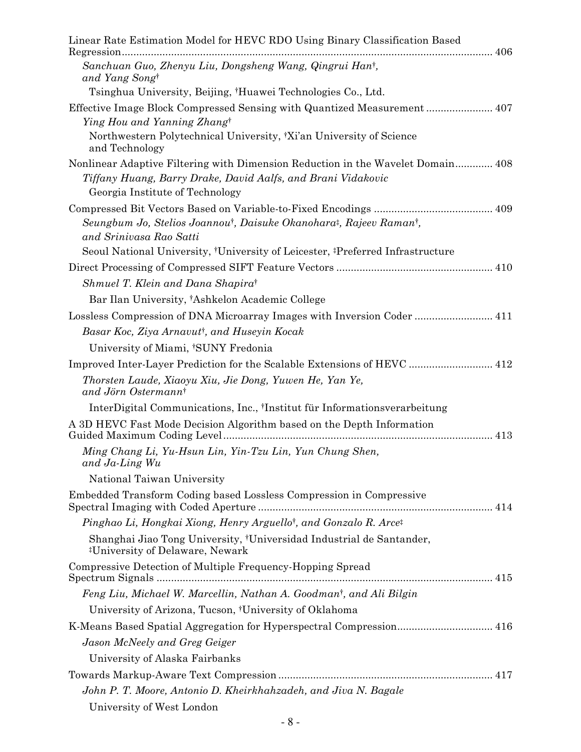| Linear Rate Estimation Model for HEVC RDO Using Binary Classification Based                                                     |
|---------------------------------------------------------------------------------------------------------------------------------|
| Sanchuan Guo, Zhenyu Liu, Dongsheng Wang, Qingrui Han <sup>†</sup> ,<br>and Yang Song <sup>†</sup>                              |
| Tsinghua University, Beijing, †Huawei Technologies Co., Ltd.                                                                    |
| Effective Image Block Compressed Sensing with Quantized Measurement 407                                                         |
| Ying Hou and Yanning Zhangt                                                                                                     |
| Northwestern Polytechnical University, <sup>†</sup> Xi'an University of Science<br>and Technology                               |
| Nonlinear Adaptive Filtering with Dimension Reduction in the Wavelet Domain 408                                                 |
| Tiffany Huang, Barry Drake, David Aalfs, and Brani Vidakovic<br>Georgia Institute of Technology                                 |
|                                                                                                                                 |
| Seungbum Jo, Stelios Joannou <sup>†</sup> , Daisuke Okanohara <sup>†</sup> , Rajeev Raman <sup>†</sup> ,                        |
| and Srinivasa Rao Satti                                                                                                         |
| Seoul National University, <sup>†</sup> University of Leicester, <sup>‡</sup> Preferred Infrastructure                          |
|                                                                                                                                 |
| Shmuel T. Klein and Dana Shapirat                                                                                               |
| Bar Ilan University, †Ashkelon Academic College                                                                                 |
| Lossless Compression of DNA Microarray Images with Inversion Coder  411                                                         |
| Basar Koc, Ziya Arnavut <sup>†</sup> , and Huseyin Kocak                                                                        |
| University of Miami, †SUNY Fredonia                                                                                             |
| Improved Inter-Layer Prediction for the Scalable Extensions of HEVC  412                                                        |
| Thorsten Laude, Xiaoyu Xiu, Jie Dong, Yuwen He, Yan Ye,<br>and Jörn Ostermann <sup>†</sup>                                      |
| InterDigital Communications, Inc., 'Institut für Informationsverarbeitung                                                       |
| A 3D HEVC Fast Mode Decision Algorithm based on the Depth Information                                                           |
| Ming Chang Li, Yu-Hsun Lin, Yin-Tzu Lin, Yun Chung Shen,<br>and Ja-Ling Wu                                                      |
| National Taiwan University                                                                                                      |
| Embedded Transform Coding based Lossless Compression in Compressive                                                             |
| Pinghao Li, Hongkai Xiong, Henry Arguello <sup>†</sup> , and Gonzalo R. Arce <sup>‡</sup>                                       |
| Shanghai Jiao Tong University, <sup>†</sup> Universidad Industrial de Santander,<br><sup>#</sup> University of Delaware, Newark |
| Compressive Detection of Multiple Frequency-Hopping Spread                                                                      |
| Feng Liu, Michael W. Marcellin, Nathan A. Goodman <sup>t</sup> , and Ali Bilgin                                                 |
| University of Arizona, Tucson, <sup>†</sup> University of Oklahoma                                                              |
|                                                                                                                                 |
| Jason McNeely and Greg Geiger                                                                                                   |
| University of Alaska Fairbanks                                                                                                  |
|                                                                                                                                 |
| John P. T. Moore, Antonio D. Kheirkhahzadeh, and Jiva N. Bagale                                                                 |
| University of West London                                                                                                       |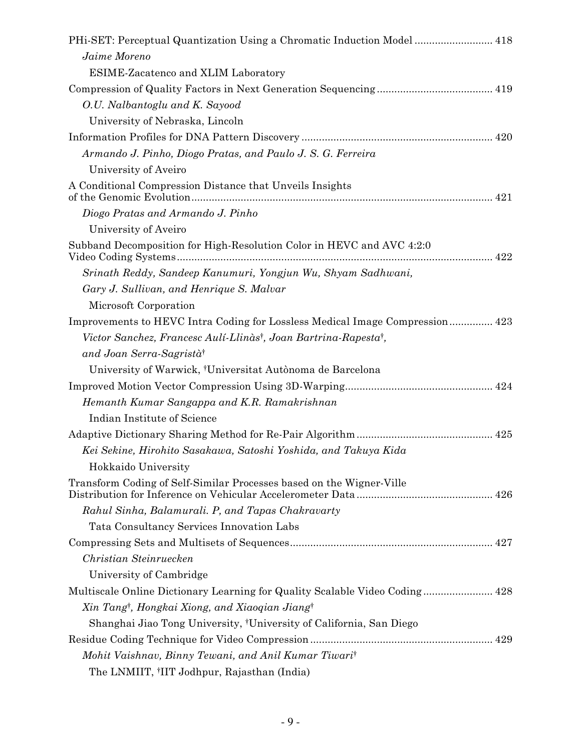| PHi-SET: Perceptual Quantization Using a Chromatic Induction Model  418                  |
|------------------------------------------------------------------------------------------|
| Jaime Moreno                                                                             |
| ESIME-Zacatenco and XLIM Laboratory                                                      |
|                                                                                          |
| O.U. Nalbantoglu and K. Sayood                                                           |
| University of Nebraska, Lincoln                                                          |
|                                                                                          |
| Armando J. Pinho, Diogo Pratas, and Paulo J. S. G. Ferreira                              |
| University of Aveiro                                                                     |
| A Conditional Compression Distance that Unveils Insights                                 |
| Diogo Pratas and Armando J. Pinho                                                        |
| University of Aveiro                                                                     |
| Subband Decomposition for High-Resolution Color in HEVC and AVC 4:2:0                    |
| Srinath Reddy, Sandeep Kanumuri, Yongjun Wu, Shyam Sadhwani,                             |
| Gary J. Sullivan, and Henrique S. Malvar                                                 |
| Microsoft Corporation                                                                    |
| Improvements to HEVC Intra Coding for Lossless Medical Image Compression 423             |
| Victor Sanchez, Francesc Aulí-Llinàs <sup>†</sup> , Joan Bartrina-Rapesta <sup>†</sup> , |
| and Joan Serra-Sagristàt                                                                 |
| University of Warwick, <sup>†</sup> Universitat Autònoma de Barcelona                    |
|                                                                                          |
| Hemanth Kumar Sangappa and K.R. Ramakrishnan                                             |
| Indian Institute of Science                                                              |
|                                                                                          |
| Kei Sekine, Hirohito Sasakawa, Satoshi Yoshida, and Takuya Kida                          |
| Hokkaido University                                                                      |
| Transform Coding of Self-Similar Processes based on the Wigner-Ville                     |
| Rahul Sinha, Balamurali. P, and Tapas Chakravarty                                        |
| Tata Consultancy Services Innovation Labs                                                |
|                                                                                          |
| Christian Steinruecken                                                                   |
| University of Cambridge                                                                  |
| Multiscale Online Dictionary Learning for Quality Scalable Video Coding 428              |
| Xin Tang <sup>†</sup> , Hongkai Xiong, and Xiaoqian Jiang†                               |
| Shanghai Jiao Tong University, <sup>†</sup> University of California, San Diego          |
|                                                                                          |
| Mohit Vaishnav, Binny Tewani, and Anil Kumar Tiwari                                      |
| The LNMIIT, <sup>†</sup> IIT Jodhpur, Rajasthan (India)                                  |